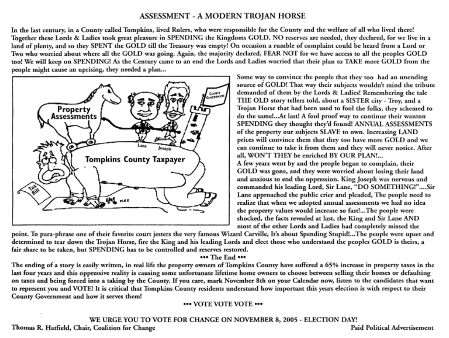### ASSESSMENT - A MODERN TROJAN HORSE

In the last century, in a County called Tompkins, lived Rulers, who were responsible for the County and the welfare of all who lived there! Together these Lords & Ladies took great pleasure in SPENDING the Kingdoms GOLD. NO reserves are needed, they declared, for we live in a land of plenty, and so they SPENT the GOLD till the Treasury was empty! On occasion a rumble of complaint could be heard from a Lord or Two who worried about where all the GOLD was going. Again, the majority declared, FEAR NOT for we have access to all the peoples GOLD too! We will keep on SPENDING! **As** the Century came to an end the Lords and Ladies worried that their plan to TAKE more GOLD from the people might cause an uprising, they needed a plan...



Some way to convince the people that they too had an unending source of GOLD! That way their subjects wouldn't mind the tribute demanded of them by the Lords & Ladies! Remembering the tale THE OLD story tellers told, about a SISTER city - Troy, and a Trojan Horse that had been used to fool the folks, they schemed to do the same!...At last! A fool proof way to continue their wanton SPENDING they thought they'd found! ANNUAL ASSESSMENTS of the property our subjects SLAVE to own. Increasing LAND prices will convince them that they too have more GOLD and we can continue to take it from them and they will never notice. After all, WON'T THEY be enriched BY OUR PLAN!...<br>A few years went by and the people began to complain, their GOLD was gone, and they were worried about losing their land and anxious to end the oppression. King Joseph was nervous and commanded **his** leading Lord, Sir Lane, "DO SOMETHING!" .... Sir Lane approached the public crier and pleaded, The people need to realize that when we adopted annual assessments we had no idea the property values would increase so fast!...The people were shocked, the facts revealed at last, the King and Sir Lane AND most of the other Lords and Ladies had completely missed the

point. To para-phrase one of their favorite court jesters the very famous Wizard Carville, It's about Spending Stupid! ... The people were upset and determined to tear down the Trojan Horse, fire the King and his leading Lords and elect those who understand the peoples GOLD is theirs, a fair share to be taken, but SPENDING has to be controlled and reserves restored.

### \*\*\* The End \*\*\*

The ending of a story is easily written, in real life the property owners of Tompkins County have suffered a *65%* increase in property taxes in the last four years and this oppressive reality is causing some unfortunate lifetime home owners to choose between selling their homes or defaulting on taxes and being forced into a taking by the County. If you care, mark November 8th on your Calendar now, listen to the candidates that want to represent you and VOTE! It is critical that Tompkins County residents understand how important this years election is with respect to their County Government and how it serves them!

### **\*\*\*** VOTE VOTE VOTE \*\*\*

WE URGE YOU TO VOTE FOR CHANGE ON NOVEMBER *8,2005* - ELECTION DAY! Thomas R Hatfield, Chair, Coalition for Change Paid Political Advertisement